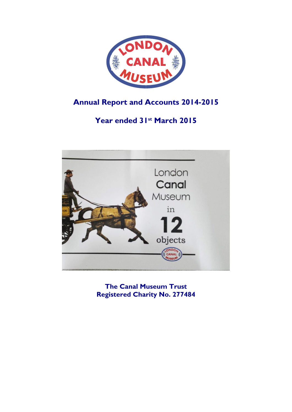

# **Annual Report and Accounts 2014-2015**

# **Year ended 31st March 2015**



**The Canal Museum Trust Registered Charity No. 277484**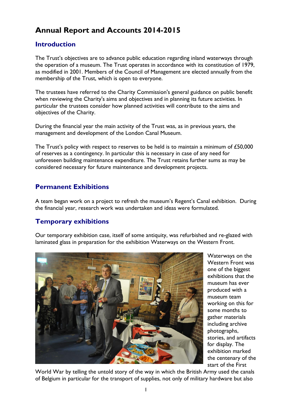# **Annual Report and Accounts 2014-2015**

### **Introduction**

The Trust's objectives are to advance public education regarding inland waterways through the operation of a museum. The Trust operates in accordance with its constitution of 1979, as modified in 2001. Members of the Council of Management are elected annually from the membership of the Trust, which is open to everyone.

The trustees have referred to the Charity Commission's general guidance on public benefit when reviewing the Charity's aims and objectives and in planning its future activities. In particular the trustees consider how planned activities will contribute to the aims and objectives of the Charity.

During the financial year the main activity of the Trust was, as in previous years, the management and development of the London Canal Museum.

The Trust's policy with respect to reserves to be held is to maintain a minimum of £50,000 of reserves as a contingency. In particular this is necessary in case of any need for unforeseen building maintenance expenditure. The Trust retains further sums as may be considered necessary for future maintenance and development projects.

### **Permanent Exhibitions**

A team began work on a project to refresh the museum's Regent's Canal exhibition. During the financial year, research work was undertaken and ideas were formulated.

### **Temporary exhibitions**

Our temporary exhibition case, itself of some antiquity, was refurbished and re-glazed with laminated glass in preparation for the exhibition Waterways on the Western Front.



Waterways on the Western Front was one of the biggest exhibitions that the museum has ever produced with a museum team working on this for some months to gather materials including archive photographs, stories, and artifacts for display. The exhibition marked the centenary of the start of the First

World War by telling the untold story of the way in which the British Army used the canals of Belgium in particular for the transport of supplies, not only of military hardware but also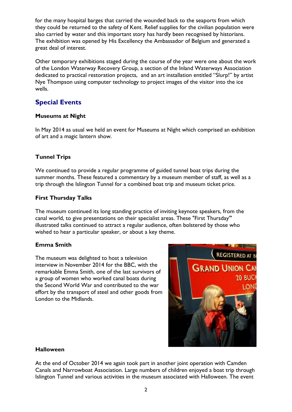for the many hospital barges that carried the wounded back to the seaports from which they could be returned to the safety of Kent. Relief supplies for the civilian population were also carried by water and this important story has hardly been recognised by historians. The exhibition was opened by His Excellency the Ambassador of Belgium and generated a great deal of interest.

Other temporary exhibitions staged during the course of the year were one about the work of the London Waterway Recovery Group, a section of the Inland Waterways Association dedicated to practical restoration projects, and an art installation entitled "Slurp!" by artist Nye Thompson using computer technology to project images of the visitor into the ice wells.

### **Special Events**

### **Museums at Night**

In May 2014 as usual we held an event for Museums at Night which comprised an exhibition of art and a magic lantern show.

### **Tunnel Trips**

We continued to provide a regular programme of guided tunnel boat trips during the summer months. These featured a commentary by a museum member of staff, as well as a trip through the Islington Tunnel for a combined boat trip and museum ticket price.

### **First Thursday Talks**

The museum continued its long standing practice of inviting keynote speakers, from the canal world, to give presentations on their specialist areas. These "First Thursday'" illustrated talks continued to attract a regular audience, often bolstered by those who wished to hear a particular speaker, or about a key theme.

### **Emma Smith**

The museum was delighted to host a television interview in November 2014 for the BBC, with the remarkable Emma Smith, one of the last survivors of a group of women who worked canal boats during the Second World War and contributed to the war effort by the transport of steel and other goods from London to the Midlands.



### **Halloween**

At the end of October 2014 we again took part in another joint operation with Camden Canals and Narrowboat Association. Large numbers of children enjoyed a boat trip through Islington Tunnel and various activities in the museum associated with Halloween. The event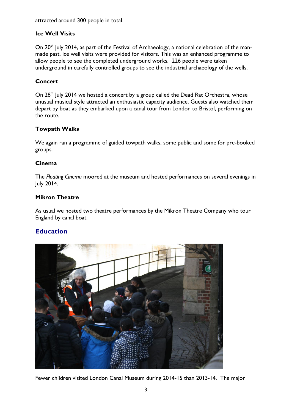attracted around 300 people in total.

### **Ice Well Visits**

On 20<sup>th</sup> July 2014, as part of the Festival of Archaeology, a national celebration of the manmade past, ice well visits were provided for visitors. This was an enhanced programme to allow people to see the completed underground works. 226 people were taken underground in carefully controlled groups to see the industrial archaeology of the wells.

### **Concert**

On 28<sup>th</sup> July 2014 we hosted a concert by a group called the Dead Rat Orchestra, whose unusual musical style attracted an enthusiastic capacity audience. Guests also watched them depart by boat as they embarked upon a canal tour from London to Bristol, performing on the route.

### **Towpath Walks**

We again ran a programme of guided towpath walks, some public and some for pre-booked groups.

### **Cinema**

The *Floating Cinema* moored at the museum and hosted performances on several evenings in July 2014.

### **Mikron Theatre**

As usual we hosted two theatre performances by the Mikron Theatre Company who tour England by canal boat.

### **Education**



Fewer children visited London Canal Museum during 2014-15 than 2013-14. The major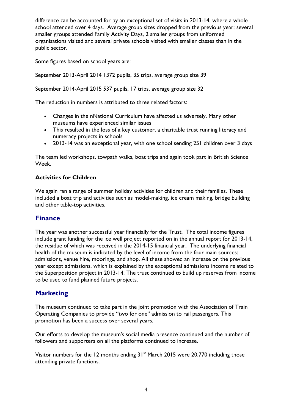difference can be accounted for by an exceptional set of visits in 2013-14, where a whole school attended over 4 days. Average group sizes dropped from the previous year; several smaller groups attended Family Activity Days, 2 smaller groups from uniformed organisations visited and several private schools visited with smaller classes than in the public sector.

Some figures based on school years are:

September 2013-April 2014 1372 pupils, 35 trips, average group size 39

September 2014-April 2015 537 pupils, 17 trips, average group size 32

The reduction in numbers is attributed to three related factors:

- Changes in the nNational Curriculum have affected us adversely. Many other museums have experienced similar issues
- This resulted in the loss of a key customer, a charitable trust running literacy and numeracy projects in schools
- 2013-14 was an exceptional year, with one school sending 251 children over 3 days

The team led workshops, towpath walks, boat trips and again took part in British Science Week.

### **Activities for Children**

We again ran a range of summer holiday activities for children and their families. These included a boat trip and activities such as model-making, ice cream making, bridge building and other table-top activities.

### **Finance**

The year was another successful year financially for the Trust. The total income figures include grant funding for the ice well project reported on in the annual report for 2013-14, the residue of which was received in the 2014-15 financial year. The underlying financial health of the museum is indicated by the level of income from the four main sources: admissions, venue hire, moorings, and shop. All these showed an increase on the previous year except admissions, which is explained by the exceptional admissions income related to the Superposition project in 2013-14. The trust continued to build up reserves from income to be used to fund planned future projects.

### **Marketing**

The museum continued to take part in the joint promotion with the Association of Train Operating Companies to provide "two for one" admission to rail passengers. This promotion has been a success over several years.

Our efforts to develop the museum's social media presence continued and the number of followers and supporters on all the platforms continued to increase.

Visitor numbers for the 12 months ending  $31<sup>st</sup>$  March 2015 were 20,770 including those attending private functions.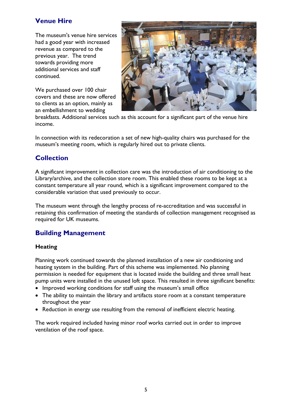## **Venue Hire**

The museum's venue hire services had a good year with increased revenue as compared to the previous year. The trend towards providing more additional services and staff continued.

We purchased over 100 chair covers and these are now offered to clients as an option, mainly as an embellishment to wedding



breakfasts. Additional services such as this account for a significant part of the venue hire income.

In connection with its redecoration a set of new high-quality chairs was purchased for the museum's meeting room, which is regularly hired out to private clients.

### **Collection**

A significant improvement in collection care was the introduction of air conditioning to the Library/archive, and the collection store room. This enabled these rooms to be kept at a constant temperature all year round, which is a significant improvement compared to the considerable variation that used previously to occur.

The museum went through the lengthy process of re-accreditation and was successful in retaining this confirmation of meeting the standards of collection management recognised as required for UK museums.

### **Building Management**

### **Heating**

Planning work continued towards the planned installation of a new air conditioning and heating system in the building. Part of this scheme was implemented. No planning permission is needed for equipment that is located inside the building and three small heat pump units were installed in the unused loft space. This resulted in three significant benefits:

- Improved working conditions for staff using the museum's small office
- The ability to maintain the library and artifacts store room at a constant temperature throughout the year
- Reduction in energy use resulting from the removal of inefficient electric heating.

The work required included having minor roof works carried out in order to improve ventilation of the roof space.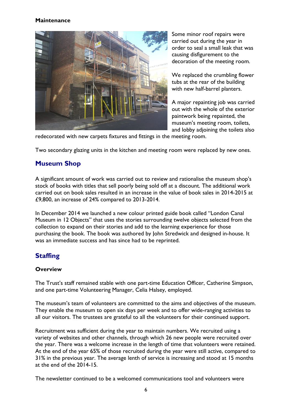### **Maintenance**



Some minor roof repairs were carried out during the year in order to seal a small leak that was causing disfigurement to the decoration of the meeting room.

We replaced the crumbling flower tubs at the rear of the building with new half-barrel planters.

A major repainting job was carried out with the whole of the exterior paintwork being repainted, the museum's meeting room, toilets, and lobby adjoining the toilets also

redecorated with new carpets fixtures and fittings in the meeting room.

Two secondary glazing units in the kitchen and meeting room were replaced by new ones.

### **Museum Shop**

A significant amount of work was carried out to review and rationalise the museum shop's stock of books with titles that sell poorly being sold off at a discount. The additional work carried out on book sales resulted in an increase in the value of book sales in 2014-2015 at £9,800, an increase of 24% compared to 2013-2014.

In December 2014 we launched a new colour printed guide book called "London Canal Museum in 12 Objects" that uses the stories surrounding twelve objects selected from the collection to expand on their stories and add to the learning experience for those purchasing the book. The book was authored by John Stredwick and designed in-house. It was an immediate success and has since had to be reprinted.

### **Staffing**

### **Overview**

The Trust's staff remained stable with one part-time Education Officer, Catherine Simpson, and one part-time Volunteering Manager, Celia Halsey, employed.

The museum's team of volunteers are committed to the aims and objectives of the museum. They enable the museum to open six days per week and to offer wide-ranging activities to all our visitors. The trustees are grateful to all the volunteers for their continued support.

Recruitment was sufficient during the year to maintain numbers. We recruited using a variety of websites and other channels, through which 26 new people were recruited over the year. There was a welcome increase in the length of time that volunteers were retained. At the end of the year 65% of those recruited during the year were still active, compared to 31% in the previous year. The average lenth of service is increasing and stood at 15 months at the end of the 2014-15.

The newsletter continued to be a welcomed communications tool and volunteers were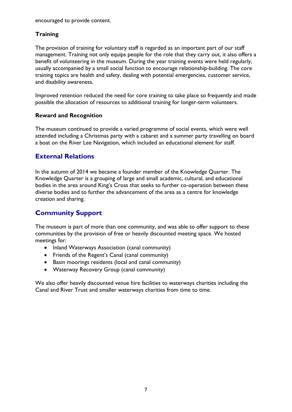encouraged to provide content.

### **Training**

The provision of training for voluntary staff is regarded as an important part of our staff management. Training not only equips people for the role that they carry out, it also offers a benefit of volunteering in the museum. During the year training events were held regularly, usually accompanied by a small social function to encourage relationship-building. The core training topics are health and safety, dealing with potential emergencies, customer service, and disability awareness.

Improved retention reduced the need for core training to take place so frequently and made possible the allocation of resources to additional training for longer-term volunteers.

### **Reward and Recognition**

The museum continued to provide a varied programme of social events, which were well attended including a Christmas party with a cabaret and a summer party travelling on board a boat on the River Lee Navigation, which included an educational element for staff.

### **External Relations**

In the autumn of 2014 we became a founder member of the Knowledge Quarter. The Knowledge Quarter is a grouping of large and small academic, cultural, and educational bodies in the area around King's Cross that seeks to further co-operation between these diverse bodies and to further the advancement of the area as a centre for knowledge creation and sharing.

### **Community Support**

The museum is part of more than one community, and was able to offer support to these communities by the provision of free or heavily discounted meeting space. We hosted meetings for:

- Inland Waterways Association (canal community)
- Friends of the Regent's Canal (canal community)
- Basin moorings residents (local and canal community)
- Waterway Recovery Group (canal community)

We also offer heavily discounted venue hire facilities to waterways charities including the Canal and River Trust and smaller waterways charities from time to time.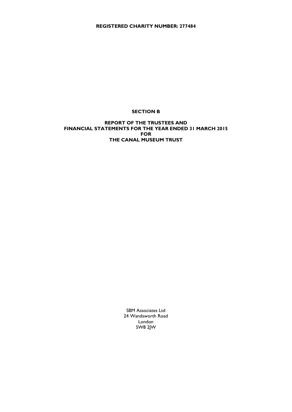**REGISTERED CHARITY NUMBER: 277484**

#### **SECTION B**

#### **REPORT OF THE TRUSTEES AND FINANCIAL STATEMENTS FOR THE YEAR ENDED 31 MARCH 2015 FOR THE CANAL MUSEUM TRUST**

SBM Associates Ltd 24 Wandsworth Road London SW8 2JW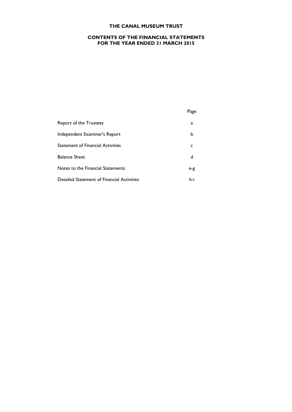#### **CONTENTS OF THE FINANCIAL STATEMENTS FOR THE YEAR ENDED 31 MARCH 2015**

### Page

| Report of the Trustees                     | a   |
|--------------------------------------------|-----|
| Independent Examiner's Report              | b   |
| <b>Statement of Financial Activities</b>   |     |
| <b>Balance Sheet</b>                       | d   |
| Notes to the Financial Statements          | e-g |
| Detailed Statement of Financial Activities | h-i |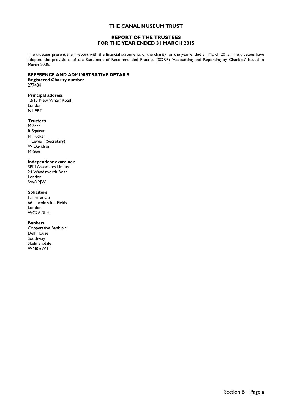#### **REPORT OF THE TRUSTEES FOR THE YEAR ENDED 31 MARCH 2015**

The trustees present their report with the financial statements of the charity for the year ended 31 March 2015. The trustees have adopted the provisions of the Statement of Recommended Practice (SORP) 'Accounting and Reporting by Charities' issued in March 2005.

#### **REFERENCE AND ADMINISTRATIVE DETAILS**

**Registered Charity number** 277484

**Principal address** 12/13 New Wharf Road London N1 9RT

#### **Trustees**

M Sach R Squires M Tucker T Lewis (Secretary) W Davidson M Gee

#### **Independent examiner**

SBM Associates Limited 24 Wandsworth Road London SW8 2JW

#### **Solicitors**

Farrer & Co 66 Lincoln's Inn Fields London WC2A 3LH

#### **Bankers**

Cooperative Bank plc Delf House Southway Skelmersdale WN8 6WT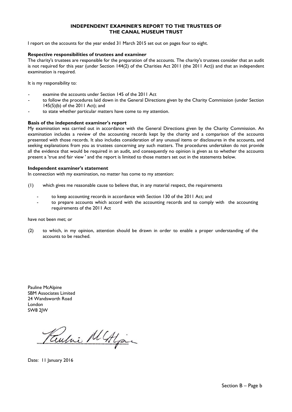#### **INDEPENDENT EXAMINER'S REPORT TO THE TRUSTEES OF THE CANAL MUSEUM TRUST**

I report on the accounts for the year ended 31 March 2015 set out on pages four to eight.

#### **Respective responsibilities of trustees and examiner**

The charity's trustees are responsible for the preparation of the accounts. The charity's trustees consider that an audit is not required for this year (under Section 144(2) of the Charities Act 2011 (the 2011 Act)) and that an independent examination is required.

It is my responsibility to:

- examine the accounts under Section 145 of the 2011 Act
- to follow the procedures laid down in the General Directions given by the Charity Commission (under Section 145(5)(b) of the 2011 Act); and
- to state whether particular matters have come to my attention.

#### **Basis of the independent examiner's report**

My examination was carried out in accordance with the General Directions given by the Charity Commission. An examination includes a review of the accounting records kept by the charity and a comparison of the accounts presented with those records. It also includes consideration of any unusual items or disclosures in the accounts, and seeking explanations from you as trustees concerning any such matters. The procedures undertaken do not provide all the evidence that would be required in an audit, and consequently no opinion is given as to whether the accounts present a 'true and fair view ' and the report is limited to those matters set out in the statements below.

#### **Independent examiner's statement**

In connection with my examination, no matter has come to my attention:

- (1) which gives me reasonable cause to believe that, in any material respect, the requirements
	- to keep accounting records in accordance with Section 130 of the 2011 Act; and
	- to prepare accounts which accord with the accounting records and to comply with the accounting requirements of the 2011 Act

have not been met; or

(2) to which, in my opinion, attention should be drawn in order to enable a proper understanding of the accounts to be reached.

Pauline McAlpine SBM Associates Limited 24 Wandsworth Road London SW8 2JW

ni Al Algai

Date: 11 January 2016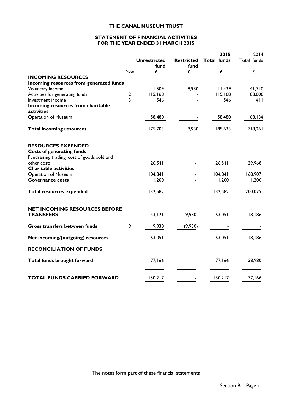#### **STATEMENT OF FINANCIAL ACTIVITIES FOR THE YEAR ENDED 31 MARCH 2015**

|                                                  |                |                     |                   | 2015               | 2014        |
|--------------------------------------------------|----------------|---------------------|-------------------|--------------------|-------------|
|                                                  |                | <b>Unrestricted</b> | <b>Restricted</b> | <b>Total funds</b> | Total funds |
|                                                  |                | fund                | fund              |                    |             |
|                                                  | <b>Note</b>    | £                   | £                 | £                  | £           |
| <b>INCOMING RESOURCES</b>                        |                |                     |                   |                    |             |
| Incoming resources from generated funds          |                |                     |                   |                    |             |
| Voluntary income                                 |                | 1,509               | 9,930             | 11,439             | 41,710      |
| Activities for generating funds                  | $\mathbf{2}$   | 115,168             |                   | 115,168            | 108,006     |
| Investment income                                | $\overline{3}$ | 546                 |                   | 546                | 411         |
| Incoming resources from charitable<br>activities |                |                     |                   |                    |             |
| <b>Operation of Museum</b>                       |                | 58,480              |                   | 58,480             | 68,134      |
| <b>Total incoming resources</b>                  |                | 175,703             | 9,930             | 185,633            | 218,261     |
| <b>RESOURCES EXPENDED</b>                        |                |                     |                   |                    |             |
| <b>Costs of generating funds</b>                 |                |                     |                   |                    |             |
| Fundraising trading: cost of goods sold and      |                |                     |                   |                    |             |
| other costs                                      |                | 26,541              |                   | 26,541             | 29,968      |
| <b>Charitable activities</b>                     |                |                     |                   |                    |             |
| <b>Operation of Museum</b>                       |                | 104,841             |                   | 104,841            | 168,907     |
| <b>Governance costs</b>                          |                | 1,200               |                   | 1,200              | 1,200       |
| <b>Total resources expended</b>                  |                | 132,582             |                   | 132,582            | 200,075     |
| <b>NET INCOMING RESOURCES BEFORE</b>             |                |                     |                   |                    |             |
| <b>TRANSFERS</b>                                 |                | 43, 121             | 9,930             | 53,051             | 18,186      |
| Gross transfers between funds                    | 9              | 9,930               | (9,930)           |                    |             |
| Net incoming/(outgoing) resources                |                | 53,051              |                   | 53,051             | 18,186      |
| <b>RECONCILIATION OF FUNDS</b>                   |                |                     |                   |                    |             |
| Total funds brought forward                      |                | 77,166              |                   | 77,166             | 58,980      |
|                                                  |                |                     |                   |                    |             |
| <b>TOTAL FUNDS CARRIED FORWARD</b>               |                | 130,217             |                   | 130,217            | 77,166      |

The notes form part of these financial statements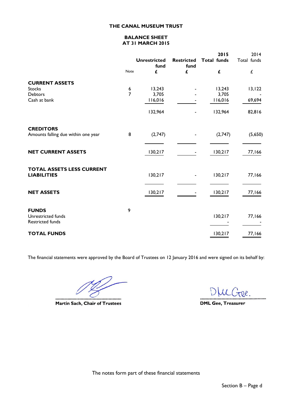#### **BALANCE SHEET AT 31 MARCH 2015**

|                                                        |               |                             |                           | 2015               | 2014        |
|--------------------------------------------------------|---------------|-----------------------------|---------------------------|--------------------|-------------|
|                                                        |               | <b>Unrestricted</b><br>fund | <b>Restricted</b><br>fund | <b>Total funds</b> | Total funds |
|                                                        | Note          | £                           | £                         | £                  | L           |
| <b>CURRENT ASSETS</b>                                  |               |                             |                           |                    |             |
| <b>Stocks</b>                                          |               | 13,243                      |                           | 13,243             | 13, 122     |
| <b>Debtors</b>                                         | $\frac{6}{7}$ | 3,705                       |                           | 3,705              |             |
| Cash at bank                                           |               | 116,016                     |                           | 116,016            | 69,694      |
|                                                        |               | 132,964                     |                           | 132,964            | 82,816      |
| <b>CREDITORS</b>                                       |               |                             |                           |                    |             |
| Amounts falling due within one year                    | 8             | (2,747)                     |                           | (2,747)            | (5,650)     |
| <b>NET CURRENT ASSETS</b>                              |               | 130,217                     |                           | 130,217            | 77,166      |
| <b>TOTAL ASSETS LESS CURRENT</b><br><b>LIABILITIES</b> |               | 130,217                     |                           | 130,217            | 77,166      |
| <b>NET ASSETS</b>                                      |               | 130,217                     |                           | 130,217            | 77,166      |
| <b>FUNDS</b><br>Unrestricted funds<br>Restricted funds | 9             |                             |                           | 130,217            | 77,166      |
| <b>TOTAL FUNDS</b>                                     |               |                             |                           | 130,217            | 77,166      |

The financial statements were approved by the Board of Trustees on 12 January 2016 and were signed on its behalf by:

.......................... **Martin Sach, Chair of Trustees** 

DIUCree. .......

**DML Gee, Treasurer** 

The notes form part of these financial statements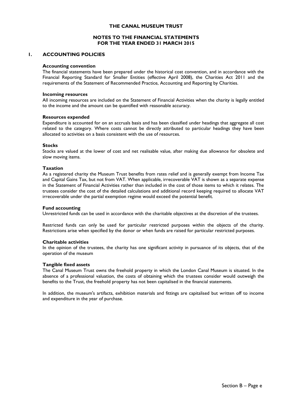#### **NOTES TO THE FINANCIAL STATEMENTS FOR THE YEAR ENDED 31 MARCH 2015**

#### **1. ACCOUNTING POLICIES**

#### **Accounting convention**

The financial statements have been prepared under the historical cost convention, and in accordance with the Financial Reporting Standard for Smaller Entities (effective April 2008), the Charities Act 2011 and the requirements of the Statement of Recommended Practice, Accounting and Reporting by Charities.

#### **Incoming resources**

All incoming resources are included on the Statement of Financial Activities when the charity is legally entitled to the income and the amount can be quantified with reasonable accuracy.

#### **Resources expended**

Expenditure is accounted for on an accruals basis and has been classified under headings that aggregate all cost related to the category. Where costs cannot be directly attributed to particular headings they have been allocated to activities on a basis consistent with the use of resources.

#### **Stocks**

Stocks are valued at the lower of cost and net realisable value, after making due allowance for obsolete and slow moving items.

#### **Taxation**

As a registered charity the Museum Trust benefits from rates relief and is generally exempt from Income Tax and Capital Gains Tax, but not from VAT. When applicable, irrecoverable VAT is shown as a separate expense in the Statement of Financial Activities rather than included in the cost of those items to which it relates. The trustees consider the cost of the detailed calculations and additional record keeping required to allocate VAT irrecoverable under the partial exemption regime would exceed the potential benefit.

#### **Fund accounting**

Unrestricted funds can be used in accordance with the charitable objectives at the discretion of the trustees.

Restricted funds can only be used for particular restricted purposes within the objects of the charity. Restrictions arise when specified by the donor or when funds are raised for particular restricted purposes.

#### **Charitable activities**

In the opinion of the trustees, the charity has one significant activity in pursuance of its objects, that of the operation of the museum

#### **Tangible fixed assets**

The Canal Museum Trust owns the freehold property in which the London Canal Museum is situated. In the absence of a professional valuation, the costs of obtaining which the trustees consider would outweigh the benefits to the Trust, the freehold property has not been capitalised in the financial statements.

In addition, the museum's artifacts, exhibition materials and fittings are capitalised but written off to income and expenditure in the year of purchase.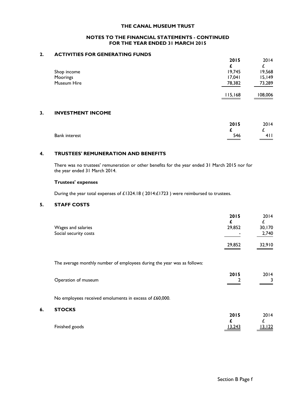#### **NOTES TO THE FINANCIAL STATEMENTS - CONTINUED FOR THE YEAR ENDED 31 MARCH 2015**

#### **2. ACTIVITIES FOR GENERATING FUNDS**

|    |                          | 2015    | 2014    |
|----|--------------------------|---------|---------|
|    |                          |         | £       |
|    | Shop income              | 19,745  | 19,568  |
|    | Moorings                 | 17,041  | 15,149  |
|    | Museum Hire              | 78,382  | 73,289  |
|    |                          | 115,168 | 108,006 |
| 3. | <b>INVESTMENT INCOME</b> |         |         |
|    |                          | 2015    | 2014    |
|    |                          |         | £       |
|    | <b>Bank interest</b>     | 546     | 411     |
|    |                          |         |         |

#### **4. TRUSTEES' REMUNERATION AND BENEFITS**

There was no trustees' remuneration or other benefits for the year ended 31 March 2015 nor for the year ended 31 March 2014.

#### **Trustees' expenses**

During the year total expenses of £1324.18 ( 2014:£1723 ) were reimbursed to trustees.

### **5. STAFF COSTS**

**6. STOCKS**

| Wages and salaries<br>Social security costs                             | 2015<br>£<br>29,852<br>29,852 | 2014<br>£<br>30,170<br>2,740<br>32,910 |
|-------------------------------------------------------------------------|-------------------------------|----------------------------------------|
| The average monthly number of employees during the year was as follows: |                               |                                        |
|                                                                         | 2015                          | 2014                                   |
| Operation of museum                                                     |                               | 3                                      |
| No employees received emoluments in excess of £60,000.                  |                               |                                        |
| <b>STOCKS</b>                                                           |                               |                                        |
|                                                                         | 2015                          | 2014<br>£                              |
| Finished goods                                                          | 13,243                        | 13, 122                                |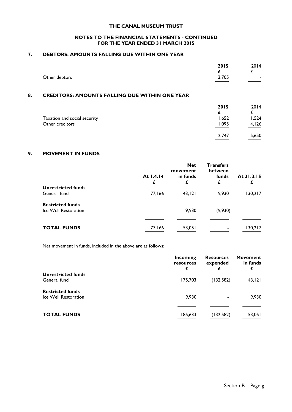#### **NOTES TO THE FINANCIAL STATEMENTS - CONTINUED FOR THE YEAR ENDED 31 MARCH 2015**

#### **7. DEBTORS: AMOUNTS FALLING DUE WITHIN ONE YEAR**

|    | Other debtors                                         | 2015<br>3,705 | 2014  |
|----|-------------------------------------------------------|---------------|-------|
| 8. | <b>CREDITORS: AMOUNTS FALLING DUE WITHIN ONE YEAR</b> |               |       |
|    |                                                       | 2015          | 2014  |
|    | Taxation and social security                          | 1,652         | 1,524 |
|    | Other creditors                                       | 1.095         | 4,126 |

#### **9. MOVEMENT IN FUNDS**

|                                                 | At 1.4.14<br>£ | <b>Net</b><br>movement<br>in funds<br>£ | <b>Transfers</b><br>between<br>funds<br>£ | At 31.3.15 |
|-------------------------------------------------|----------------|-----------------------------------------|-------------------------------------------|------------|
| <b>Unrestricted funds</b><br>General fund       | 77,166         | 43,121                                  | 9,930                                     | 130,217    |
| <b>Restricted funds</b><br>Ice Well Restoration |                | 9,930                                   | (9,930)                                   |            |
| <b>TOTAL FUNDS</b>                              | 77,166         | 53,051                                  | $\overline{\phantom{a}}$                  | 130,217    |

Net movement in funds, included in the above are as follows:

|                           | Incoming<br>resources<br>£ | <b>Resources</b><br>expended | <b>Movement</b><br>in funds |
|---------------------------|----------------------------|------------------------------|-----------------------------|
| <b>Unrestricted funds</b> |                            |                              |                             |
| General fund              | 175,703                    | (132,582)                    | 43,121                      |
| <b>Restricted funds</b>   |                            |                              |                             |
| Ice Well Restoration      | 9,930                      |                              | 9,930                       |
|                           |                            |                              |                             |
| <b>TOTAL FUNDS</b>        | 185,633                    | (132,582)                    | 53,051                      |

2,747 5,650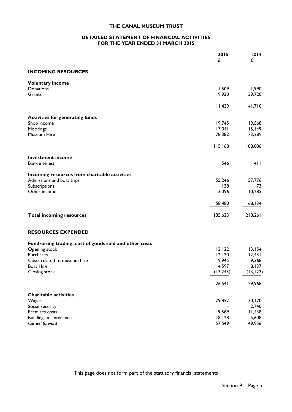#### **DETAILED STATEMENT OF FINANCIAL ACTIVITIES FOR THE YEAR ENDED 31 MARCH 2015**

|                                                                          | 2015      | 2014      |
|--------------------------------------------------------------------------|-----------|-----------|
|                                                                          | £         | £         |
| <b>INCOMING RESOURCES</b>                                                |           |           |
| <b>Voluntary income</b>                                                  |           |           |
| Donations                                                                | 1,509     | 1,990     |
| Grants                                                                   | 9,930     | 39,720    |
|                                                                          | 11,439    | 41,710    |
| <b>Activities for generating funds</b>                                   |           |           |
| Shop income                                                              | 19,745    | 19,568    |
| Moorings                                                                 | 17,041    | 15,149    |
| Museum Hire                                                              | 78,382    | 73,289    |
|                                                                          | 115,168   | 108,006   |
| <b>Investment income</b>                                                 |           |           |
| <b>Bank interest</b>                                                     | 546       | 411       |
| Incoming resources from charitable activities                            |           |           |
| Admissions and boat trips                                                | 55,246    | 57,776    |
| Subscriptions                                                            | 138       | 73        |
| Other income                                                             | 3,096     | 10,285    |
|                                                                          | 58,480    | 68,134    |
| <b>Total incoming resources</b>                                          | 185,633   | 218,261   |
| <b>RESOURCES EXPENDED</b>                                                |           |           |
|                                                                          |           |           |
| Fundraising trading: cost of goods sold and other costs<br>Opening stock | 13, 122   | 13,154    |
| Purchases                                                                | 12,120    | 12,431    |
| Costs related to museum hire                                             | 9,945     | 9,368     |
| <b>Boat Hire</b>                                                         | 4,597     | 8,137     |
| Closing stock                                                            | (13, 243) | (13, 122) |
|                                                                          | 26,541    | 29,968    |
| <b>Charitable activities</b>                                             |           |           |
| Wages                                                                    | 29,852    | 30,170    |
| Social security                                                          |           | 2,740     |
| Premises costs                                                           | 9,569     | 11,438    |
| <b>Buildings maintenance</b>                                             | 18,128    | 5,608     |
| Carried forward                                                          | 57,549    | 49,956    |

This page does not form part of the statutory financial statements